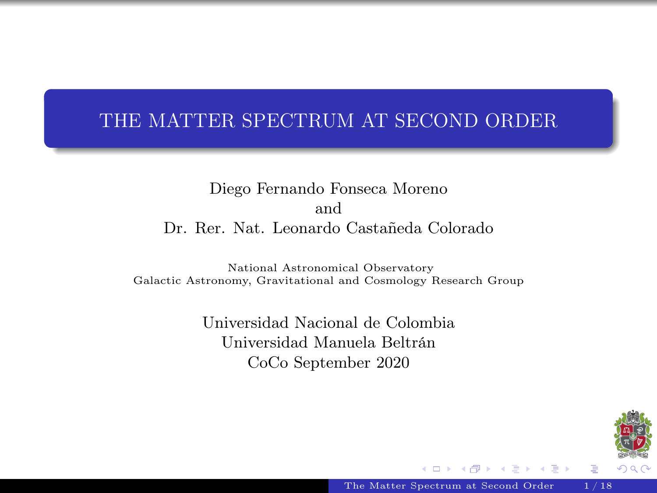## <span id="page-0-0"></span>THE MATTER SPECTRUM AT SECOND ORDER

Diego Fernando Fonseca Moreno and Dr. Rer. Nat. Leonardo Castañeda Colorado

National Astronomical Observatory Galactic Astronomy, Gravitational and Cosmology Research Group

> Universidad Nacional de Colombia Universidad Manuela Beltrán CoCo September 2020



[The Matter Spectrum at Second Order](#page-20-0) 1/18

 $\leftarrow$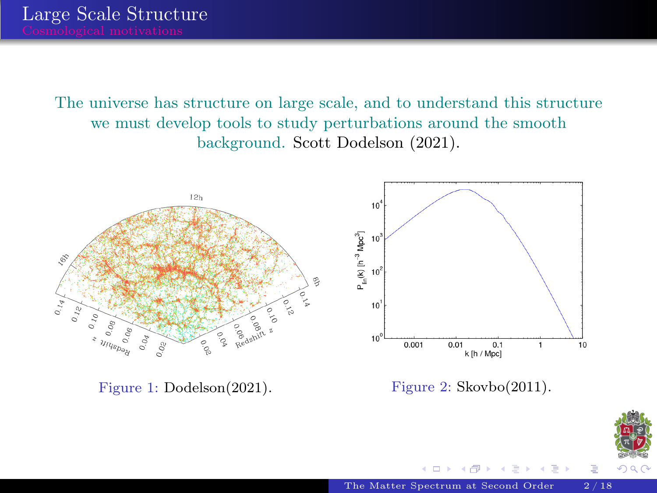The universe has structure on large scale, and to understand this structure we must develop tools to study perturbations around the smooth background. Scott Dodelson (2021).



 $290$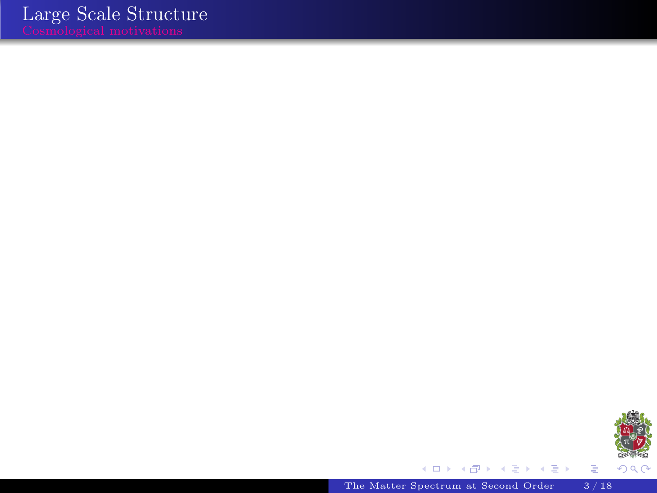

È

[The Matter Spectrum at Second Order](#page-0-0) 3/18

メロト メタト メミト メミト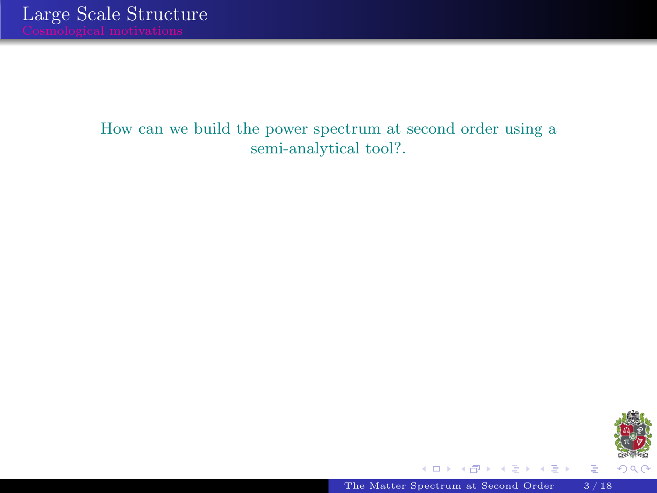#### How can we build the power spectrum at second order using a semi-analytical tool?.



ă

 $\Rightarrow$ 

◆ ロ ▶ → 伊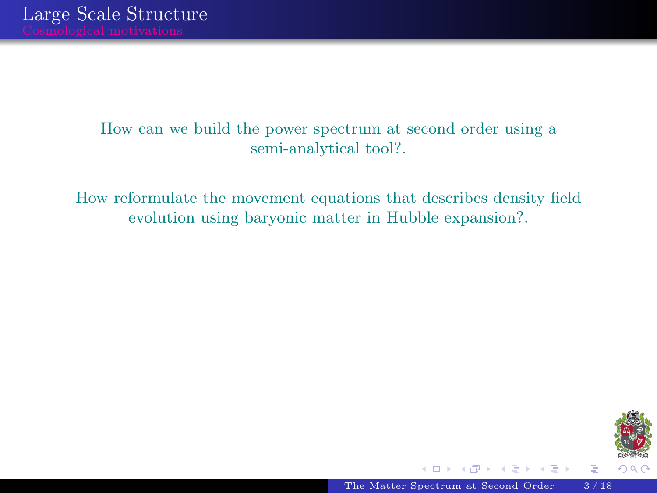#### How can we build the power spectrum at second order using a semi-analytical tool?.

How reformulate the movement equations that describes density field evolution using baryonic matter in Hubble expansion?.



Ė

4. 0. 6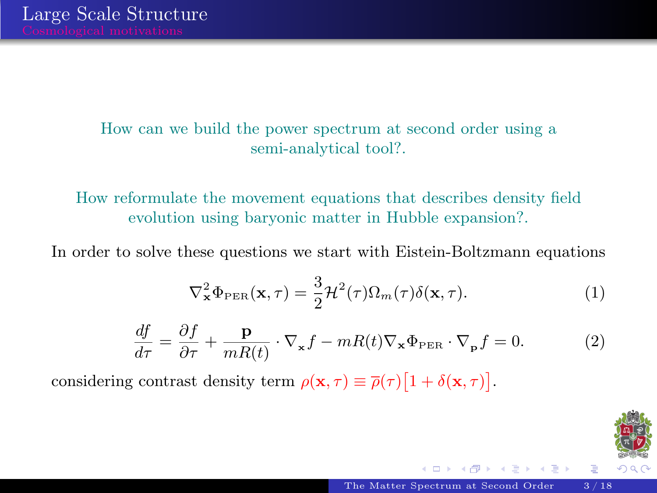#### How can we build the power spectrum at second order using a semi-analytical tool?.

How reformulate the movement equations that describes density field evolution using baryonic matter in Hubble expansion?.

In order to solve these questions we start with Eistein-Boltzmann equations

$$
\nabla_{\mathbf{x}}^2 \Phi_{\rm PER}(\mathbf{x}, \tau) = \frac{3}{2} \mathcal{H}^2(\tau) \Omega_m(\tau) \delta(\mathbf{x}, \tau). \tag{1}
$$

$$
\frac{df}{d\tau} = \frac{\partial f}{\partial \tau} + \frac{\mathbf{p}}{mR(t)} \cdot \nabla_{\mathbf{x}} f - mR(t) \nabla_{\mathbf{x}} \Phi_{\text{PER}} \cdot \nabla_{\mathbf{p}} f = 0. \tag{2}
$$

considering contrast density term  $\rho(\mathbf{x}, \tau) \equiv \overline{\rho}(\tau) [1 + \delta(\mathbf{x}, \tau)].$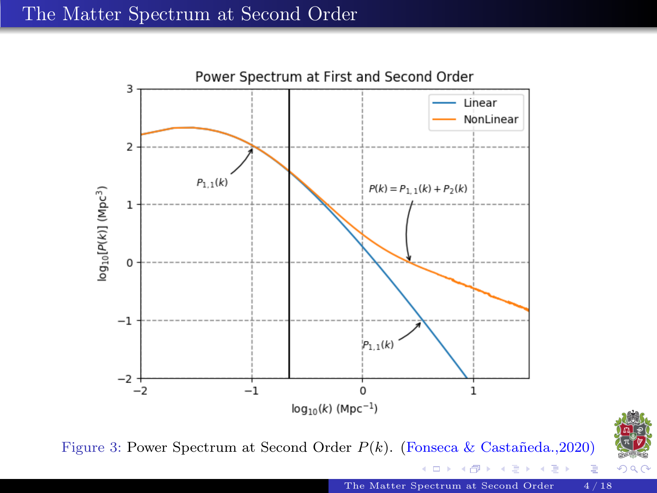

Figure 3: Power Spectrum at Second Order  $P(k)$ . (Fonseca & Castañeda.,2020)



Þ

[The Matter Spectrum at Second Order](#page-0-0) 4/18

4 0 8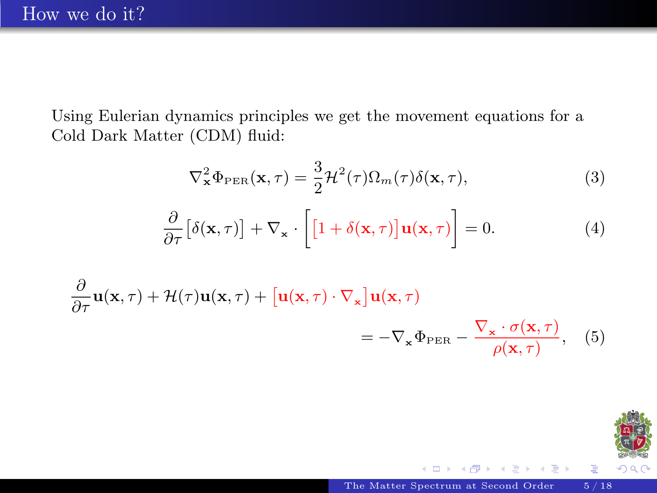Using Eulerian dynamics principles we get the movement equations for a Cold Dark Matter (CDM) fluid:

$$
\nabla_{\mathbf{x}}^2 \Phi_{\rm PER}(\mathbf{x}, \tau) = \frac{3}{2} \mathcal{H}^2(\tau) \Omega_m(\tau) \delta(\mathbf{x}, \tau), \tag{3}
$$

$$
\frac{\partial}{\partial \tau} \left[ \delta(\mathbf{x}, \tau) \right] + \nabla_{\mathbf{x}} \cdot \left[ \left[ 1 + \delta(\mathbf{x}, \tau) \right] \mathbf{u}(\mathbf{x}, \tau) \right] = 0. \tag{4}
$$

$$
\frac{\partial}{\partial \tau} \mathbf{u}(\mathbf{x}, \tau) + \mathcal{H}(\tau) \mathbf{u}(\mathbf{x}, \tau) + \left[ \mathbf{u}(\mathbf{x}, \tau) \cdot \nabla_{\mathbf{x}} \right] \mathbf{u}(\mathbf{x}, \tau) \n= -\nabla_{\mathbf{x}} \Phi_{\text{PER}} - \frac{\nabla_{\mathbf{x}} \cdot \sigma(\mathbf{x}, \tau)}{\rho(\mathbf{x}, \tau)}, \quad (5)
$$



Þ

 $\leftarrow$   $\Box$   $\rightarrow$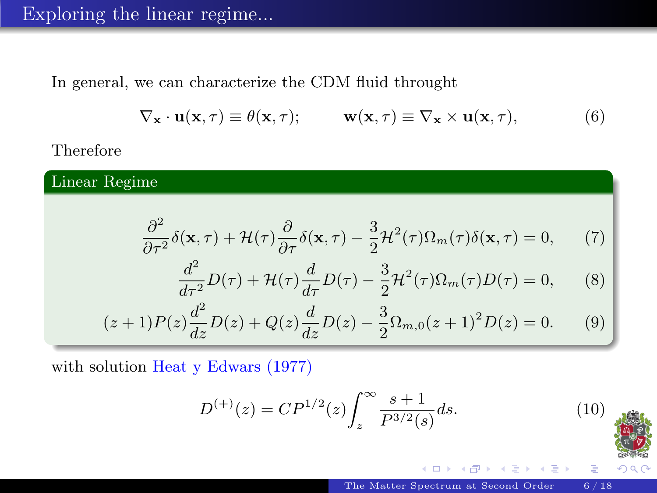In general, we can characterize the CDM fluid throught

$$
\nabla_{\mathbf{x}} \cdot \mathbf{u}(\mathbf{x}, \tau) \equiv \theta(\mathbf{x}, \tau); \qquad \mathbf{w}(\mathbf{x}, \tau) \equiv \nabla_{\mathbf{x}} \times \mathbf{u}(\mathbf{x}, \tau), \tag{6}
$$

Therefore

Linear Regime

$$
\frac{\partial^2}{\partial \tau^2} \delta(\mathbf{x}, \tau) + \mathcal{H}(\tau) \frac{\partial}{\partial \tau} \delta(\mathbf{x}, \tau) - \frac{3}{2} \mathcal{H}^2(\tau) \Omega_m(\tau) \delta(\mathbf{x}, \tau) = 0, \tag{7}
$$

$$
\frac{d^2}{d\tau^2}D(\tau) + \mathcal{H}(\tau)\frac{d}{d\tau}D(\tau) - \frac{3}{2}\mathcal{H}^2(\tau)\Omega_m(\tau)D(\tau) = 0,\qquad(8)
$$

$$
(z+1)P(z)\frac{d^2}{dz}D(z) + Q(z)\frac{d}{dz}D(z) - \frac{3}{2}\Omega_{m,0}(z+1)^2D(z) = 0.
$$
 (9)

with solution Heat y Edwars (1977)

$$
D^{(+)}(z) = CP^{1/2}(z) \int_{z}^{\infty} \frac{s+1}{P^{3/2}(s)} ds.
$$
 (10)

4. 0. 6



Þ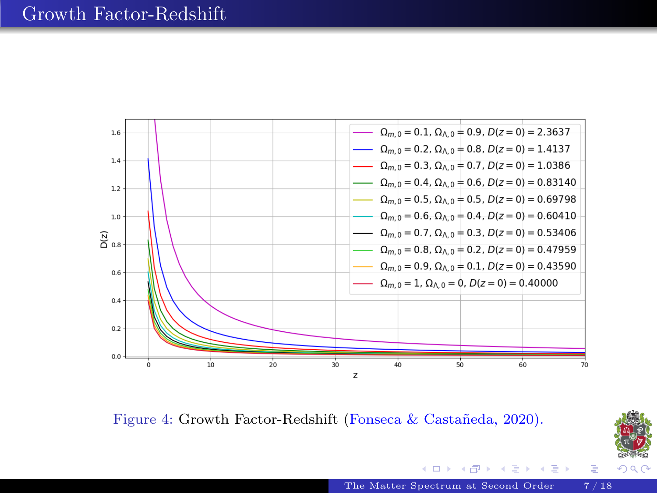

Figure 4: Growth Factor-Redshift (Fonseca & Castañeda, 2020).



重

重す 一本 重 下

4 0 8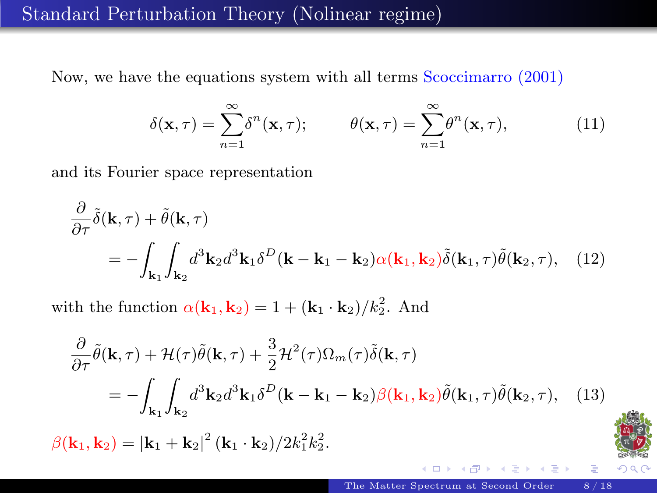### Standard Perturbation Theory (Nolinear regime)

Now, we have the equations system with all terms Scoccimarro (2001)

$$
\delta(\mathbf{x}, \tau) = \sum_{n=1}^{\infty} \delta^n(\mathbf{x}, \tau); \qquad \theta(\mathbf{x}, \tau) = \sum_{n=1}^{\infty} \theta^n(\mathbf{x}, \tau), \qquad (11)
$$

and its Fourier space representation

$$
\frac{\partial}{\partial \tau} \tilde{\delta}(\mathbf{k}, \tau) + \tilde{\theta}(\mathbf{k}, \tau) \n= - \int_{\mathbf{k}_1} \int_{\mathbf{k}_2} d^3 \mathbf{k}_2 d^3 \mathbf{k}_1 \delta^D(\mathbf{k} - \mathbf{k}_1 - \mathbf{k}_2) \alpha(\mathbf{k}_1, \mathbf{k}_2) \tilde{\delta}(\mathbf{k}_1, \tau) \tilde{\theta}(\mathbf{k}_2, \tau), \quad (12)
$$

with the function  $\alpha(\mathbf{k}_1, \mathbf{k}_2) = 1 + (\mathbf{k}_1 \cdot \mathbf{k}_2)/k_2^2$ . And

$$
\frac{\partial}{\partial \tau} \tilde{\theta}(\mathbf{k}, \tau) + \mathcal{H}(\tau) \tilde{\theta}(\mathbf{k}, \tau) + \frac{3}{2} \mathcal{H}^2(\tau) \Omega_m(\tau) \tilde{\delta}(\mathbf{k}, \tau) \n= - \int_{\mathbf{k}_1} \int_{\mathbf{k}_2} d^3 \mathbf{k}_2 d^3 \mathbf{k}_1 \delta^D(\mathbf{k} - \mathbf{k}_1 - \mathbf{k}_2) \beta(\mathbf{k}_1, \mathbf{k}_2) \tilde{\theta}(\mathbf{k}_1, \tau) \tilde{\theta}(\mathbf{k}_2, \tau), \quad (13)
$$

 $\beta({\bf k}_1,{\bf k}_2)=|{\bf k}_1+{\bf k}_2|^2\,({\bf k}_1\cdot{\bf k}_2)/2k_1^2k_2^2.$ 



4.000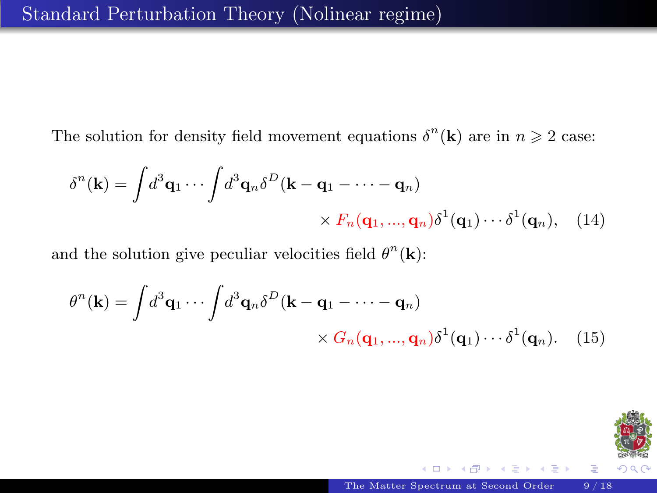The solution for density field movement equations  $\delta^{n}(\mathbf{k})$  are in  $n \geq 2$  case:

$$
\delta^{n}(\mathbf{k}) = \int d^{3}\mathbf{q}_{1} \cdots \int d^{3}\mathbf{q}_{n} \delta^{D}(\mathbf{k} - \mathbf{q}_{1} - \cdots - \mathbf{q}_{n}) \times F_{n}(\mathbf{q}_{1}, ..., \mathbf{q}_{n}) \delta^{1}(\mathbf{q}_{1}) \cdots \delta^{1}(\mathbf{q}_{n}), \quad (14)
$$

and the solution give peculiar velocities field  $\theta^n(\mathbf{k})$ :

$$
\theta^{n}(\mathbf{k}) = \int d^{3}\mathbf{q}_{1} \cdots \int d^{3}\mathbf{q}_{n} \delta^{D}(\mathbf{k} - \mathbf{q}_{1} - \cdots - \mathbf{q}_{n}) \times G_{n}(\mathbf{q}_{1}, ..., \mathbf{q}_{n}) \delta^{1}(\mathbf{q}_{1}) \cdots \delta^{1}(\mathbf{q}_{n}). \quad (15)
$$



 $\leftarrow$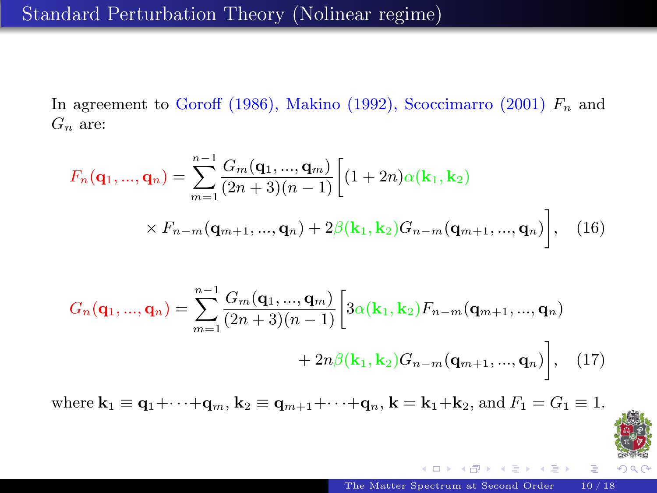In agreement to Goroff (1986), Makino (1992), Scoccimarro (2001)  $F_n$  and  $G_n$  are:

$$
F_n(\mathbf{q}_1, ..., \mathbf{q}_n) = \sum_{m=1}^{n-1} \frac{G_m(\mathbf{q}_1, ..., \mathbf{q}_m)}{(2n+3)(n-1)} \Big[ (1+2n)\alpha(\mathbf{k}_1, \mathbf{k}_2)
$$
  
 
$$
\times F_{n-m}(\mathbf{q}_{m+1}, ..., \mathbf{q}_n) + 2\beta(\mathbf{k}_1, \mathbf{k}_2)G_{n-m}(\mathbf{q}_{m+1}, ..., \mathbf{q}_n) \Big], \quad (16)
$$

$$
G_n(\mathbf{q}_1, ..., \mathbf{q}_n) = \sum_{m=1}^{n-1} \frac{G_m(\mathbf{q}_1, ..., \mathbf{q}_m)}{(2n+3)(n-1)} \left[ 3\alpha(\mathbf{k}_1, \mathbf{k}_2) F_{n-m}(\mathbf{q}_{m+1}, ..., \mathbf{q}_n) + 2n\beta(\mathbf{k}_1, \mathbf{k}_2) G_{n-m}(\mathbf{q}_{m+1}, ..., \mathbf{q}_n) \right], \quad (17)
$$

where  $\mathbf{k}_1 \equiv \mathbf{q}_1 + \cdots + \mathbf{q}_m$ ,  $\mathbf{k}_2 \equiv \mathbf{q}_{m+1} + \cdots + \mathbf{q}_n$ ,  $\mathbf{k} = \mathbf{k}_1 + \mathbf{k}_2$ , and  $F_1 = G_1 \equiv 1$ .



4.000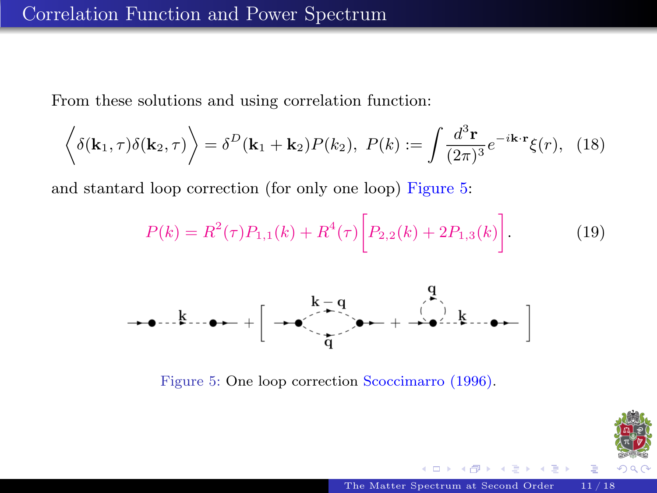From these solutions and using correlation function:

$$
\left\langle \delta(\mathbf{k}_1, \tau) \delta(\mathbf{k}_2, \tau) \right\rangle = \delta^D(\mathbf{k}_1 + \mathbf{k}_2) P(k_2), \ P(k) := \int \frac{d^3 \mathbf{r}}{(2\pi)^3} e^{-i\mathbf{k} \cdot \mathbf{r}} \xi(r), \tag{18}
$$

and stantard loop correction (for only one loop) Figure 5:

$$
P(k) = R^{2}(\tau)P_{1,1}(k) + R^{4}(\tau)\bigg[P_{2,2}(k) + 2P_{1,3}(k)\bigg].
$$
 (19)



Figure 5: One loop correction Scoccimarro (1996).

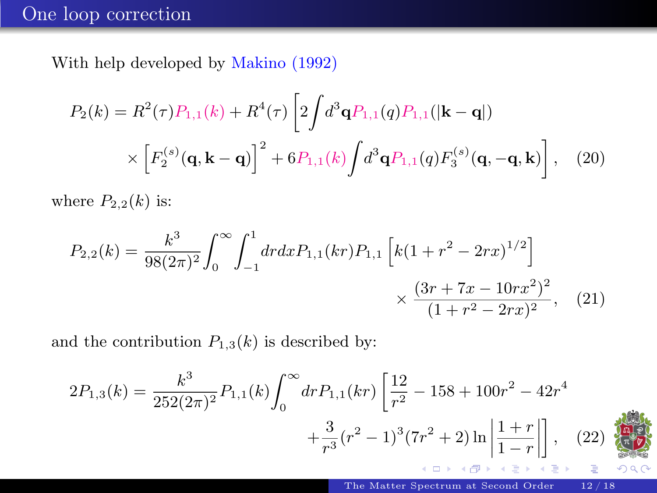### One loop correction

With help developed by Makino (1992)

$$
P_2(k) = R^2(\tau) P_{1,1}(k) + R^4(\tau) \left[ 2 \int d^3 \mathbf{q} P_{1,1}(q) P_{1,1}(|\mathbf{k} - \mathbf{q}|) \times \left[ F_2^{(s)}(\mathbf{q}, \mathbf{k} - \mathbf{q}) \right]^2 + 6 P_{1,1}(k) \int d^3 \mathbf{q} P_{1,1}(q) F_3^{(s)}(\mathbf{q}, -\mathbf{q}, \mathbf{k}) \right], \quad (20)
$$

where  $P_{2,2}(k)$  is:

$$
P_{2,2}(k) = \frac{k^3}{98(2\pi)^2} \int_0^\infty \int_{-1}^1 dr dx P_{1,1}(kr) P_{1,1} \left[ k(1 + r^2 - 2rx)^{1/2} \right] \times \frac{(3r + 7x - 10rx^2)^2}{(1 + r^2 - 2rx)^2}, \quad (21)
$$

and the contribution  $P_{1,3}(k)$  is described by:

$$
2P_{1,3}(k) = \frac{k^3}{252(2\pi)^2} P_{1,1}(k) \int_0^\infty dr P_{1,1}(kr) \left[ \frac{12}{r^2} - 158 + 100r^2 - 42r^4 + \frac{3}{r^3}(r^2 - 1)^3(7r^2 + 2) \ln \left| \frac{1+r}{1-r} \right| \right], \quad (22)
$$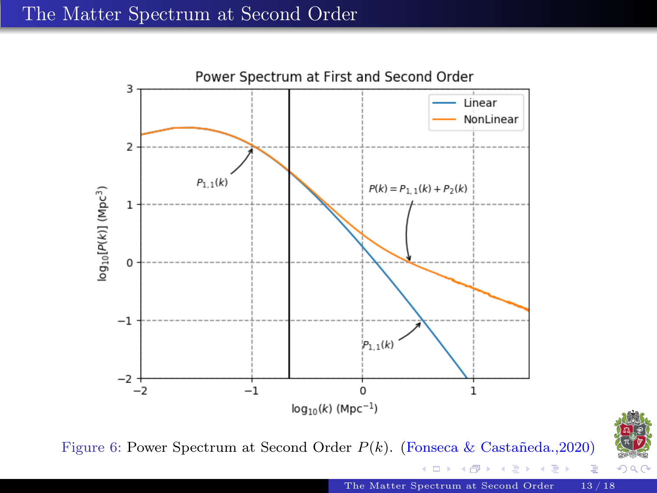<span id="page-15-0"></span>

Figure 6: Power Spectrum at Second Order  $P(k)$ . (Fonseca & Castañeda.,2020)



[The Matter Spectrum at Second Order](#page-0-0) 13/18

4 0 8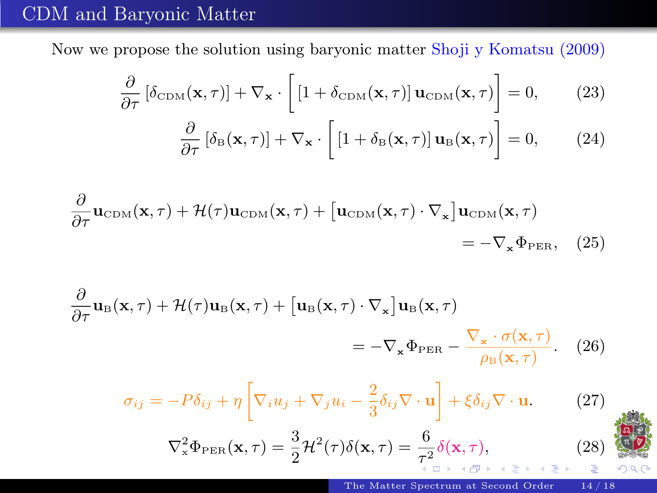### CDM and Baryonic Matter

Now we propose the solution using baryonic matter Shoji y Komatsu (2009)

$$
\frac{\partial}{\partial \tau} \left[ \delta_{\text{CDM}}(\mathbf{x}, \tau) \right] + \nabla_{\mathbf{x}} \cdot \left[ \left[ 1 + \delta_{\text{CDM}}(\mathbf{x}, \tau) \right] \mathbf{u}_{\text{CDM}}(\mathbf{x}, \tau) \right] = 0, \quad (23)
$$

$$
\frac{\partial}{\partial \tau} \left[ \delta_{\mathcal{B}}(\mathbf{x}, \tau) \right] + \nabla_{\mathbf{x}} \cdot \left[ \left[ 1 + \delta_{\mathcal{B}}(\mathbf{x}, \tau) \right] \mathbf{u}_{\mathcal{B}}(\mathbf{x}, \tau) \right] = 0, \quad (24)
$$

$$
\frac{\partial}{\partial \tau} \mathbf{u}_{\text{CDM}}(\mathbf{x}, \tau) + \mathcal{H}(\tau) \mathbf{u}_{\text{CDM}}(\mathbf{x}, \tau) + \left[ \mathbf{u}_{\text{CDM}}(\mathbf{x}, \tau) \cdot \nabla_{\mathbf{x}} \right] \mathbf{u}_{\text{CDM}}(\mathbf{x}, \tau) = -\nabla_{\mathbf{x}} \Phi_{\text{PER}}, \quad (25)
$$

$$
\frac{\partial}{\partial \tau} \mathbf{u}_{\text{B}}(\mathbf{x}, \tau) + \mathcal{H}(\tau) \mathbf{u}_{\text{B}}(\mathbf{x}, \tau) + \left[ \mathbf{u}_{\text{B}}(\mathbf{x}, \tau) \cdot \nabla_{\mathbf{x}} \right] \mathbf{u}_{\text{B}}(\mathbf{x}, \tau) \n= -\nabla_{\mathbf{x}} \Phi_{\text{PER}} - \frac{\nabla_{\mathbf{x}} \cdot \sigma(\mathbf{x}, \tau)}{\rho_{\text{B}}(\mathbf{x}, \tau)}.
$$
\n(26)

$$
\sigma_{ij} = -P\delta_{ij} + \eta \left[\nabla_i u_j + \nabla_j u_i - \frac{2}{3}\delta_{ij}\nabla \cdot \mathbf{u}\right] + \xi \delta_{ij}\nabla \cdot \mathbf{u}.
$$

$$
\nabla_{\mathbf{x}}^2 \Phi_{\rm PER}(\mathbf{x}, \tau) = \frac{3}{2} \mathcal{H}^2(\tau) \delta(\mathbf{x}, \tau) = \frac{6}{\tau^2} \delta(\mathbf{x}, \tau),
$$

 $(27)$ 

 $(28)$ 

 $Q$  $Q$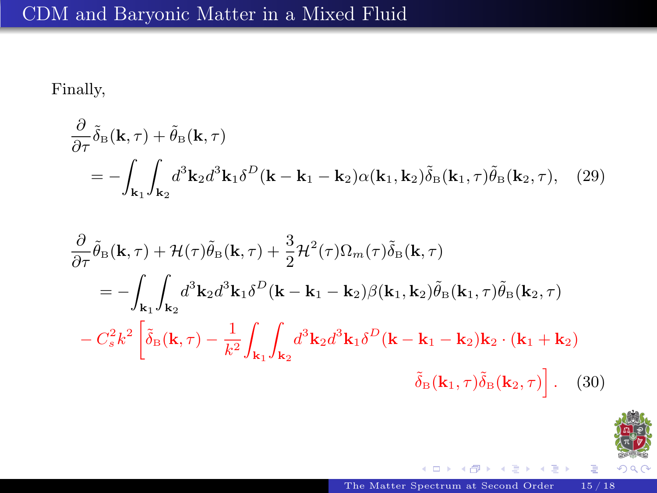# CDM and Baryonic Matter in a Mixed Fluid

Finally,

$$
\frac{\partial}{\partial \tau} \tilde{\delta}_{\text{B}}(\mathbf{k}, \tau) + \tilde{\theta}_{\text{B}}(\mathbf{k}, \tau) \n= - \int_{\mathbf{k}_1} \int_{\mathbf{k}_2} d^3 \mathbf{k}_2 d^3 \mathbf{k}_1 \delta^D(\mathbf{k} - \mathbf{k}_1 - \mathbf{k}_2) \alpha(\mathbf{k}_1, \mathbf{k}_2) \tilde{\delta}_{\text{B}}(\mathbf{k}_1, \tau) \tilde{\theta}_{\text{B}}(\mathbf{k}_2, \tau), \quad (29)
$$

$$
\frac{\partial}{\partial \tau} \tilde{\theta}_{\text{B}}(\mathbf{k}, \tau) + \mathcal{H}(\tau) \tilde{\theta}_{\text{B}}(\mathbf{k}, \tau) + \frac{3}{2} \mathcal{H}^{2}(\tau) \Omega_{m}(\tau) \tilde{\delta}_{\text{B}}(\mathbf{k}, \tau)
$$
\n
$$
= - \int_{\mathbf{k}_{1}} \int_{\mathbf{k}_{2}} d^{3} \mathbf{k}_{2} d^{3} \mathbf{k}_{1} \delta^{D}(\mathbf{k} - \mathbf{k}_{1} - \mathbf{k}_{2}) \beta(\mathbf{k}_{1}, \mathbf{k}_{2}) \tilde{\theta}_{\text{B}}(\mathbf{k}_{1}, \tau) \tilde{\theta}_{\text{B}}(\mathbf{k}_{2}, \tau)
$$
\n
$$
- C_{s}^{2} k^{2} \left[ \tilde{\delta}_{\text{B}}(\mathbf{k}, \tau) - \frac{1}{k^{2}} \int_{\mathbf{k}_{1}} \int_{\mathbf{k}_{2}} d^{3} \mathbf{k}_{2} d^{3} \mathbf{k}_{1} \delta^{D}(\mathbf{k} - \mathbf{k}_{1} - \mathbf{k}_{2}) \mathbf{k}_{2} \cdot (\mathbf{k}_{1} + \mathbf{k}_{2}) \right. \\ \left. \delta_{\text{B}}(\mathbf{k}_{1}, \tau) \tilde{\delta}_{\text{B}}(\mathbf{k}_{2}, \tau) \right]. \tag{30}
$$



 $\mathcal{A}$ 

← 重→

 $\mathbf{p}$ 

重

 $\leftarrow$   $\Box$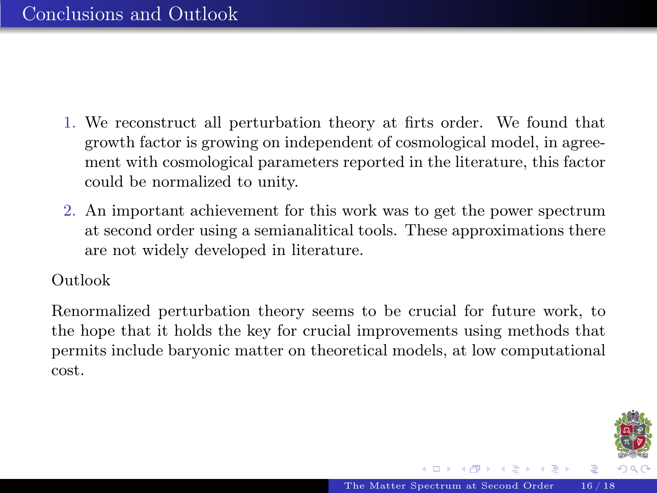- <span id="page-18-0"></span>1. We reconstruct all perturbation theory at firts order. We found that growth factor is growing on independent of cosmological model, in agreement with cosmological parameters reported in the literature, this factor could be normalized to unity.
- 2. An important achievement for this work was to get the power spectrum at second order using a semianalitical tools. These approximations there are not widely developed in literature.

Outlook

Renormalized perturbation theory seems to be crucial for future work, to the hope that it holds the key for crucial improvements using methods that permits include baryonic matter on theoretical models, at low computational cost.

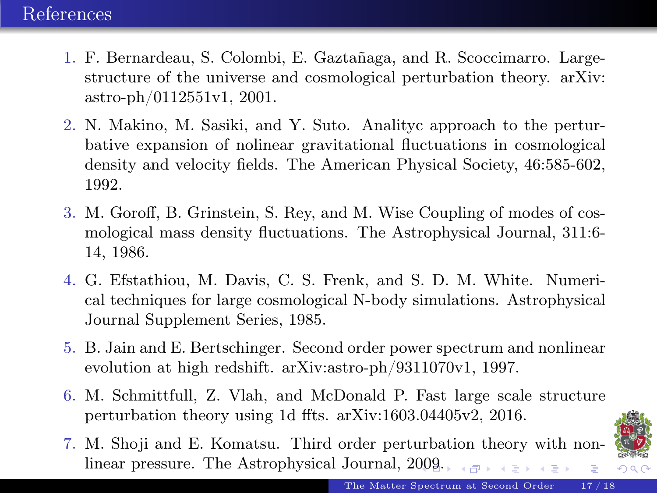- 1. F. Bernardeau, S. Colombi, E. Gaztañaga, and R. Scoccimarro. Largestructure of the universe and cosmological perturbation theory. arXiv: astro-ph/0112551v1, 2001.
- 2. N. Makino, M. Sasiki, and Y. Suto. Analityc approach to the perturbative expansion of nolinear gravitational fluctuations in cosmological density and velocity fields. The American Physical Society, 46:585-602, 1992.
- 3. M. Goroff, B. Grinstein, S. Rey, and M. Wise Coupling of modes of cosmological mass density fluctuations. The Astrophysical Journal, 311:6- 14, 1986.
- 4. G. Efstathiou, M. Davis, C. S. Frenk, and S. D. M. White. Numerical techniques for large cosmological N-body simulations. Astrophysical Journal Supplement Series, 1985.
- 5. B. Jain and E. Bertschinger. Second order power spectrum and nonlinear evolution at high redshift. arXiv:astro-ph/9311070v1, 1997.
- 6. M. Schmittfull, Z. Vlah, and McDonald P. Fast large scale structure perturbation theory using 1d ffts. arXiv:1603.04405v2, 2016.
- 7. M. Shoji and E. Komatsu. Third order perturbation theory with nonlinear pressure. The Astrophysical Journal, 2[00](#page-18-0)9[.](#page-20-0)  $\equiv$